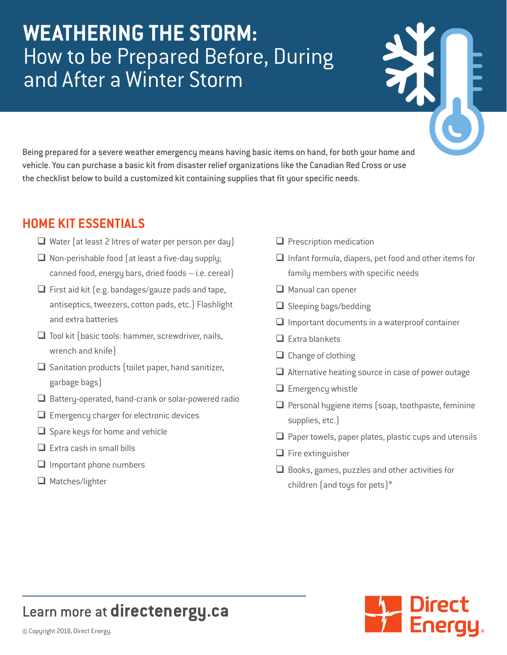# **WEATHERING THE STORM:** How to be Prepared Before, During and After a Winter Storm

Being prepared for a severe weather emergency means having basic items on hand, for both your home and vehicle. You can purchase a basic kit from disaster relief organizations like the Canadian Red Cross or use the checklist below to build a customized kit containing supplies that fit your specific needs.

### **HOME KIT ESSENTIALS**

- $\Box$  Water (at least 2 litres of water per person per day)
- $\Box$  Non-perishable food (at least a five-day supply; canned food, energy bars, dried foods – i.e. cereal)
- $\Box$  First aid kit (e.g. bandages/gauze pads and tape, antiseptics, tweezers, cotton pads, etc.) Flashlight and extra batteries
- $\Box$  Tool kit (basic tools: hammer, screwdriver, nails, wrench and knife)
- $\Box$  Sanitation products (toilet paper, hand sanitizer, garbage bags)
- $\Box$  Battery-operated, hand-crank or solar-powered radio
- $\Box$  Emergency charger for electronic devices
- $\Box$  Spare keys for home and vehicle
- $\Box$  Extra cash in small bills
- $\Box$  Important phone numbers
- $\Box$  Matches/lighter
- $\Box$  Prescription medication
- $\Box$  Infant formula, diapers, pet food and other items for family members with specific needs
- $\Box$  Manual can opener
- $\Box$  Sleeping bags/bedding
- $\Box$  Important documents in a waterproof container
- $\Box$  Extra blankets
- $\Box$  Change of clothing
- $\Box$  Alternative heating source in case of power outage
- $\Box$  Emergency whistle
- $\Box$  Personal hygiene items (soap, toothpaste, feminine supplies, etc.)
- $\Box$  Paper towels, paper plates, plastic cups and utensils
- $\Box$  Fire extinguisher
- $\Box$  Books, games, puzzles and other activities for children (and toys for pets)\*